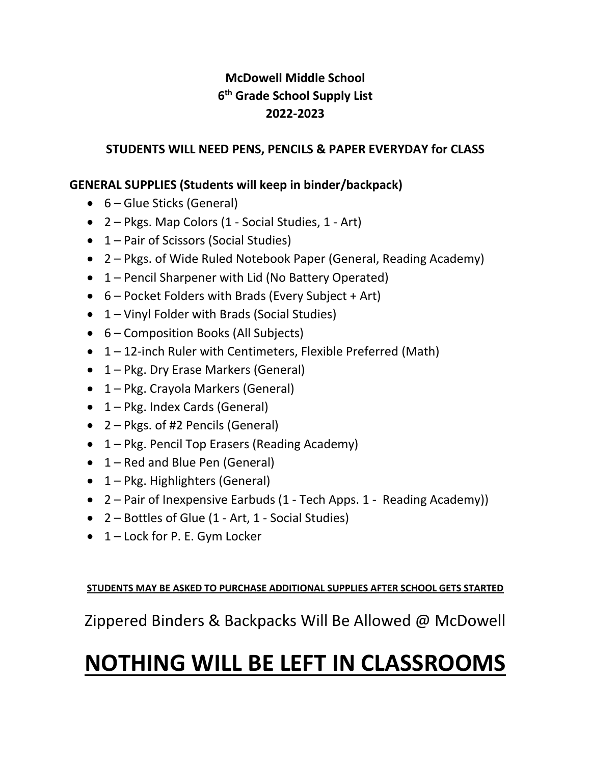## **McDowell Middle School 6 th Grade School Supply List 2022-2023**

### **STUDENTS WILL NEED PENS, PENCILS & PAPER EVERYDAY for CLASS**

### **GENERAL SUPPLIES (Students will keep in binder/backpack)**

- 6 Glue Sticks (General)
- 2 Pkgs. Map Colors (1 Social Studies, 1 Art)
- 1 Pair of Scissors (Social Studies)
- 2 Pkgs. of Wide Ruled Notebook Paper (General, Reading Academy)
- 1 Pencil Sharpener with Lid (No Battery Operated)
- 6 Pocket Folders with Brads (Every Subject + Art)
- 1 Vinyl Folder with Brads (Social Studies)
- 6 Composition Books (All Subjects)
- 1 12-inch Ruler with Centimeters, Flexible Preferred (Math)
- 1 Pkg. Dry Erase Markers (General)
- 1 Pkg. Crayola Markers (General)
- 1 Pkg. Index Cards (General)
- 2 Pkgs. of #2 Pencils (General)
- 1 Pkg. Pencil Top Erasers (Reading Academy)
- 1 Red and Blue Pen (General)
- 1 Pkg. Highlighters (General)
- 2 Pair of Inexpensive Earbuds (1 Tech Apps. 1 Reading Academy))
- 2 Bottles of Glue (1 Art, 1 Social Studies)
- 1 Lock for P. E. Gym Locker

**STUDENTS MAY BE ASKED TO PURCHASE ADDITIONAL SUPPLIES AFTER SCHOOL GETS STARTED**

Zippered Binders & Backpacks Will Be Allowed @ McDowell

# **NOTHING WILL BE LEFT IN CLASSROOMS**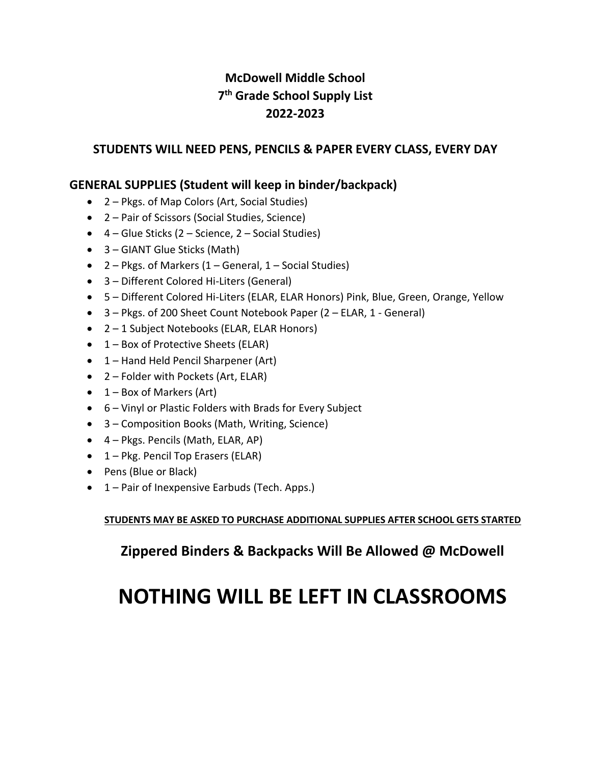## **McDowell Middle School 7 th Grade School Supply List 2022-2023**

#### **STUDENTS WILL NEED PENS, PENCILS & PAPER EVERY CLASS, EVERY DAY**

#### **GENERAL SUPPLIES (Student will keep in binder/backpack)**

- 2 Pkgs. of Map Colors (Art, Social Studies)
- 2 Pair of Scissors (Social Studies, Science)
- $\bullet$  4 Glue Sticks (2 Science, 2 Social Studies)
- 3 GIANT Glue Sticks (Math)
- $2 -$  Pkgs. of Markers (1 General, 1 Social Studies)
- 3 Different Colored Hi-Liters (General)
- 5 Different Colored Hi-Liters (ELAR, ELAR Honors) Pink, Blue, Green, Orange, Yellow
- 3 Pkgs. of 200 Sheet Count Notebook Paper (2 ELAR, 1 General)
- 2 1 Subject Notebooks (ELAR, ELAR Honors)
- $\bullet$  1 Box of Protective Sheets (ELAR)
- 1 Hand Held Pencil Sharpener (Art)
- 2 Folder with Pockets (Art, ELAR)
- $\bullet$  1 Box of Markers (Art)
- 6 Vinyl or Plastic Folders with Brads for Every Subject
- 3 Composition Books (Math, Writing, Science)
- 4 Pkgs. Pencils (Math, ELAR, AP)
- 1 Pkg. Pencil Top Erasers (ELAR)
- Pens (Blue or Black)
- 1 Pair of Inexpensive Earbuds (Tech. Apps.)

**STUDENTS MAY BE ASKED TO PURCHASE ADDITIONAL SUPPLIES AFTER SCHOOL GETS STARTED**

**Zippered Binders & Backpacks Will Be Allowed @ McDowell**

## **NOTHING WILL BE LEFT IN CLASSROOMS**